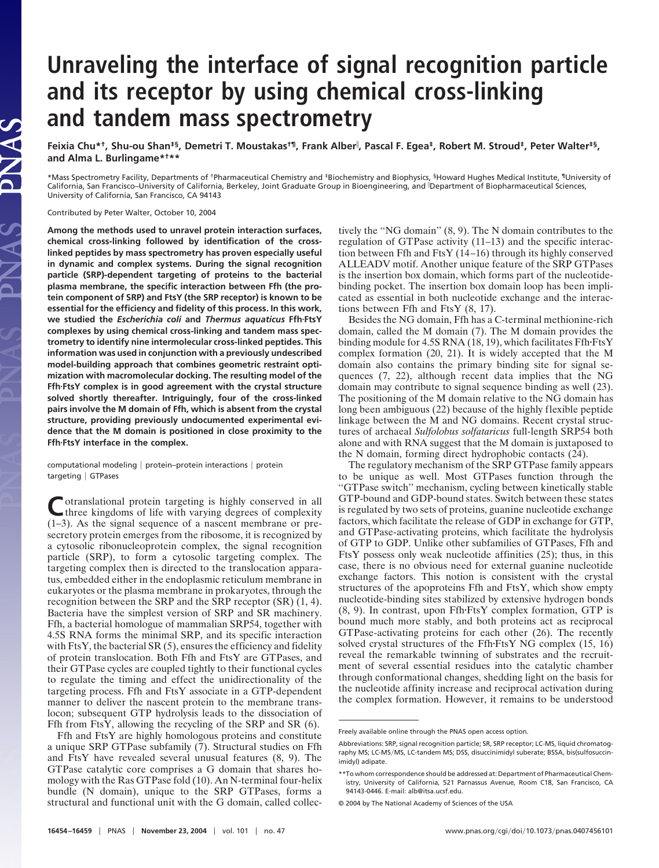# **Unraveling the interface of signal recognition particle and its receptor by using chemical cross-linking and tandem mass spectrometry**

**Feixia Chu\*†, Shu-ou Shan‡§, Demetri T. Moustakas†¶, Frank Alber , Pascal F. Egea‡, Robert M. Stroud‡, Peter Walter‡§, and Alma L. Burlingame\*†\*\***

\*Mass Spectrometry Facility, Departments of †Pharmaceutical Chemistry and ‡Biochemistry and Biophysics, §Howard Hughes Medical Institute, ¶University of California, San Francisco–University of California, Berkeley, Joint Graduate Group in Bioengineering, and Department of Biopharmaceutical Sciences, University of California, San Francisco, CA 94143

Contributed by Peter Walter, October 10, 2004

**Among the methods used to unravel protein interaction surfaces, chemical cross-linking followed by identification of the crosslinked peptides by mass spectrometry has proven especially useful in dynamic and complex systems. During the signal recognition particle (SRP)-dependent targeting of proteins to the bacterial plasma membrane, the specific interaction between Ffh (the protein component of SRP) and FtsY (the SRP receptor) is known to be essential for the efficiency and fidelity of this process. In this work, we studied the** *Escherichia coli* **and** *Thermus aquaticus* **FfhFtsY complexes by using chemical cross-linking and tandem mass spectrometry to identify nine intermolecular cross-linked peptides. This information was used in conjunction with a previously undescribed model-building approach that combines geometric restraint optimization with macromolecular docking. The resulting model of the FfhFtsY complex is in good agreement with the crystal structure solved shortly thereafter. Intriguingly, four of the cross-linked pairs involve the M domain of Ffh, which is absent from the crystal structure, providing previously undocumented experimental evidence that the M domain is positioned in close proximity to the FfhFtsY interface in the complex.**

computational modeling | protein–protein interactions | protein targeting | GTPases

Cotranslational protein targeting is highly conserved in all<br>three kingdoms of life with varying degrees of complexity (1–3). As the signal sequence of a nascent membrane or presecretory protein emerges from the ribosome, it is recognized by a cytosolic ribonucleoprotein complex, the signal recognition particle (SRP), to form a cytosolic targeting complex. The targeting complex then is directed to the translocation apparatus, embedded either in the endoplasmic reticulum membrane in eukaryotes or the plasma membrane in prokaryotes, through the recognition between the SRP and the SRP receptor  $(SR)$   $(1, 4)$ . Bacteria have the simplest version of SRP and SR machinery. Ffh, a bacterial homologue of mammalian SRP54, together with 4.5S RNA forms the minimal SRP, and its specific interaction with FtsY, the bacterial SR (5), ensures the efficiency and fidelity of protein translocation. Both Ffh and FtsY are GTPases, and their GTPase cycles are coupled tightly to their functional cycles to regulate the timing and effect the unidirectionality of the targeting process. Ffh and FtsY associate in a GTP-dependent manner to deliver the nascent protein to the membrane translocon; subsequent GTP hydrolysis leads to the dissociation of Ffh from FtsY, allowing the recycling of the SRP and SR (6).

Ffh and FtsY are highly homologous proteins and constitute a unique SRP GTPase subfamily (7). Structural studies on Ffh and FtsY have revealed several unusual features (8, 9). The GTPase catalytic core comprises a G domain that shares homology with the Ras GTPase fold (10). An N-terminal four-helix bundle (N domain), unique to the SRP GTPases, forms a structural and functional unit with the G domain, called collectively the ''NG domain'' (8, 9). The N domain contributes to the regulation of GTPase activity (11–13) and the specific interaction between Ffh and FtsY (14–16) through its highly conserved ALLEADV motif. Another unique feature of the SRP GTPases is the insertion box domain, which forms part of the nucleotidebinding pocket. The insertion box domain loop has been implicated as essential in both nucleotide exchange and the interactions between Ffh and FtsY (8, 17).

Besides the NG domain, Ffh has a C-terminal methionine-rich domain, called the M domain (7). The M domain provides the binding module for 4.5S RNA (18, 19), which facilitates Ffh·FtsY complex formation (20, 21). It is widely accepted that the M domain also contains the primary binding site for signal sequences (7, 22), although recent data implies that the NG domain may contribute to signal sequence binding as well (23). The positioning of the M domain relative to the NG domain has long been ambiguous (22) because of the highly flexible peptide linkage between the M and NG domains. Recent crystal structures of archaeal *Sulfolobus solfataricus* full-length SRP54 both alone and with RNA suggest that the M domain is juxtaposed to the N domain, forming direct hydrophobic contacts (24).

The regulatory mechanism of the SRP GTPase family appears to be unique as well. Most GTPases function through the ''GTPase switch'' mechanism, cycling between kinetically stable GTP-bound and GDP-bound states. Switch between these states is regulated by two sets of proteins, guanine nucleotide exchange factors, which facilitate the release of GDP in exchange for GTP, and GTPase-activating proteins, which facilitate the hydrolysis of GTP to GDP. Unlike other subfamilies of GTPases, Ffh and FtsY possess only weak nucleotide affinities (25); thus, in this case, there is no obvious need for external guanine nucleotide exchange factors. This notion is consistent with the crystal structures of the apoproteins Ffh and FtsY, which show empty nucleotide-binding sites stabilized by extensive hydrogen bonds  $(8, 9)$ . In contrast, upon Ffh $-FtsY$  complex formation, GTP is bound much more stably, and both proteins act as reciprocal GTPase-activating proteins for each other (26). The recently solved crystal structures of the Ffh·FtsY NG complex (15, 16) reveal the remarkable twinning of substrates and the recruitment of several essential residues into the catalytic chamber through conformational changes, shedding light on the basis for the nucleotide affinity increase and reciprocal activation during the complex formation. However, it remains to be understood

Freely available online through the PNAS open access option.

Abbreviations: SRP, signal recognition particle; SR, SRP receptor; LC-MS, liquid chromatography MS; LC-MS/MS, LC-tandem MS; DSS, disuccinimidyl suberate; BSSA, bis(sulfosuccinimidyl) adipate.

<sup>\*\*</sup>To whom correspondence should be addressed at: Department of Pharmaceutical Chemistry, University of California, 521 Parnassus Avenue, Room C18, San Francisco, CA 94143-0446. E-mail: alb@itsa.ucsf.edu.

<sup>© 2004</sup> by The National Academy of Sciences of the USA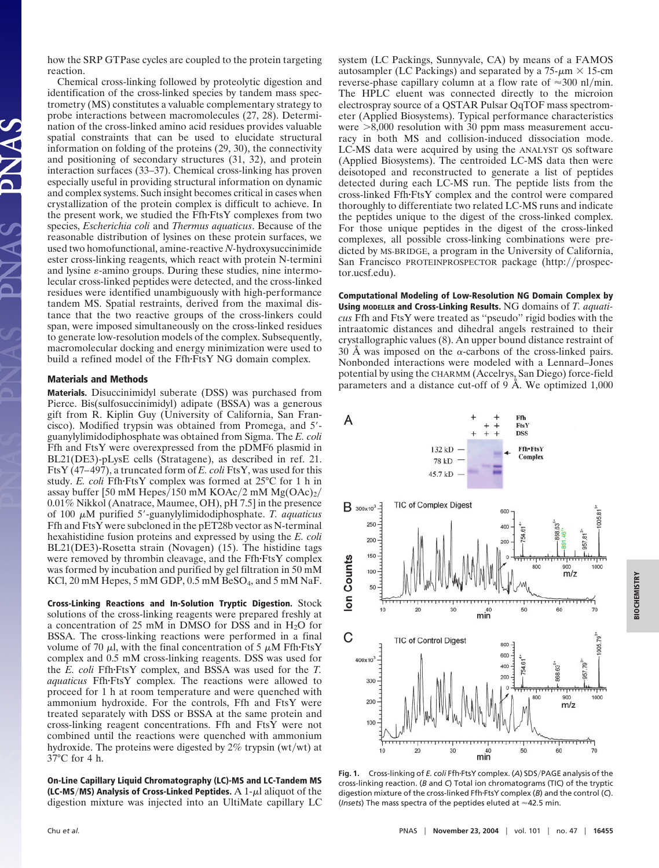how the SRP GTPase cycles are coupled to the protein targeting reaction.

Chemical cross-linking followed by proteolytic digestion and identification of the cross-linked species by tandem mass spectrometry (MS) constitutes a valuable complementary strategy to probe interactions between macromolecules (27, 28). Determination of the cross-linked amino acid residues provides valuable spatial constraints that can be used to elucidate structural information on folding of the proteins (29, 30), the connectivity and positioning of secondary structures (31, 32), and protein interaction surfaces (33–37). Chemical cross-linking has proven especially useful in providing structural information on dynamic and complex systems. Such insight becomes critical in cases when crystallization of the protein complex is difficult to achieve. In the present work, we studied the Ffh·FtsY complexes from two species, *Escherichia coli* and *Thermus aquaticus*. Because of the reasonable distribution of lysines on these protein surfaces, we used two homofunctional, amine-reactive *N-*hydroxysuccinimide ester cross-linking reagents, which react with protein N-termini and lysine  $\varepsilon$ -amino groups. During these studies, nine intermolecular cross-linked peptides were detected, and the cross-linked residues were identified unambiguously with high-performance tandem MS. Spatial restraints, derived from the maximal distance that the two reactive groups of the cross-linkers could span, were imposed simultaneously on the cross-linked residues to generate low-resolution models of the complex. Subsequently, macromolecular docking and energy minimization were used to build a refined model of the Ffh·FtsY NG domain complex.

# **Materials and Methods**

**Materials.** Disuccinimidyl suberate (DSS) was purchased from Pierce. Bis(sulfosuccinimidyl) adipate (BSSA) was a generous gift from R. Kiplin Guy (University of California, San Francisco). Modified trypsin was obtained from Promega, and 5 guanylylimidodiphosphate was obtained from Sigma. The *E. coli* Ffh and FtsY were overexpressed from the pDMF6 plasmid in BL21(DE3)-pLysE cells (Stratagene), as described in ref. 21. FtsY (47–497), a truncated form of *E. coli* FtsY, was used for this study. *E. coli* Ffh·FtsY complex was formed at 25°C for 1 h in assay buffer [50 mM Hepes/150 mM KOAc/2 mM  $Mg(OAc)<sub>2</sub>$ / 0.01% Nikkol (Anatrace, Maumee, OH), pH 7.5] in the presence of 100  $\mu$ M purified 5'-guanylylimidodiphosphate. *T. aquaticus* Ffh and FtsY were subcloned in the pET28b vector as N-terminal hexahistidine fusion proteins and expressed by using the *E. coli* BL21(DE3)-Rosetta strain (Novagen) (15). The histidine tags were removed by thrombin cleavage, and the Ffh $-FtsY$  complex was formed by incubation and purified by gel filtration in 50 mM KCl, 20 mM Hepes, 5 mM GDP, 0.5 mM BeSO<sub>4</sub>, and 5 mM NaF.

**Cross-Linking Reactions and In-Solution Tryptic Digestion.** Stock solutions of the cross-linking reagents were prepared freshly at a concentration of 25 mM in DMSO for DSS and in  $H_2O$  for BSSA. The cross-linking reactions were performed in a final volume of 70  $\mu$ l, with the final concentration of 5  $\mu$ M Ffh·FtsY complex and 0.5 mM cross-linking reagents. DSS was used for the *E. coli* Ffh·FtsY complex, and BSSA was used for the *T. aquaticus* Ffh·FtsY complex. The reactions were allowed to proceed for 1 h at room temperature and were quenched with ammonium hydroxide. For the controls, Ffh and FtsY were treated separately with DSS or BSSA at the same protein and cross-linking reagent concentrations. Ffh and FtsY were not combined until the reactions were quenched with ammonium hydroxide. The proteins were digested by  $2\%$  trypsin (wt/wt) at 37°C for 4 h.

**On-Line Capillary Liquid Chromatography (LC)-MS and LC-Tandem MS (LC-MS/MS) Analysis of Cross-Linked Peptides.**  $A$  1- $\mu$ l aliquot of the digestion mixture was injected into an UltiMate capillary LC system (LC Packings, Sunnyvale, CA) by means of a FAMOS autosampler (LC Packings) and separated by a  $75-\mu m \times 15$ -cm reverse-phase capillary column at a flow rate of  $\approx 300$  nl/min. The HPLC eluent was connected directly to the microion electrospray source of a QSTAR Pulsar QqTOF mass spectrometer (Applied Biosystems). Typical performance characteristics were  $>8,000$  resolution with 30 ppm mass measurement accuracy in both MS and collision-induced dissociation mode. LC-MS data were acquired by using the ANALYST QS software (Applied Biosystems). The centroided LC-MS data then were deisotoped and reconstructed to generate a list of peptides detected during each LC-MS run. The peptide lists from the cross-linked Ffh·FtsY complex and the control were compared thoroughly to differentiate two related LC-MS runs and indicate the peptides unique to the digest of the cross-linked complex. For those unique peptides in the digest of the cross-linked complexes, all possible cross-linking combinations were predicted by MS-BRIDGE, a program in the University of California, San Francisco PROTEINPROSPECTOR package (http://prospector.ucsf.edu).

**Computational Modeling of Low-Resolution NG Domain Complex by Using MODELLER and Cross-Linking Results.** NG domains of *T. aquaticus* Ffh and FtsY were treated as ''pseudo'' rigid bodies with the intraatomic distances and dihedral angels restrained to their crystallographic values (8). An upper bound distance restraint of 30 Å was imposed on the  $\alpha$ -carbons of the cross-linked pairs. Nonbonded interactions were modeled with a Lennard–Jones potential by using the CHARMM (Accelrys, San Diego) force-field parameters and a distance cut-off of 9 Å. We optimized 1,000



Fig. 1. Cross-linking of *E. coli* Ffh·FtsY complex. (A) SDS/PAGE analysis of the cross-linking reaction. (*B* and *C*) Total ion chromatograms (TIC) of the tryptic digestion mixture of the cross-linked Ffh-FtsY complex (*B*) and the control (*C*). (*Insets*) The mass spectra of the peptides eluted at  $\approx$  42.5 min.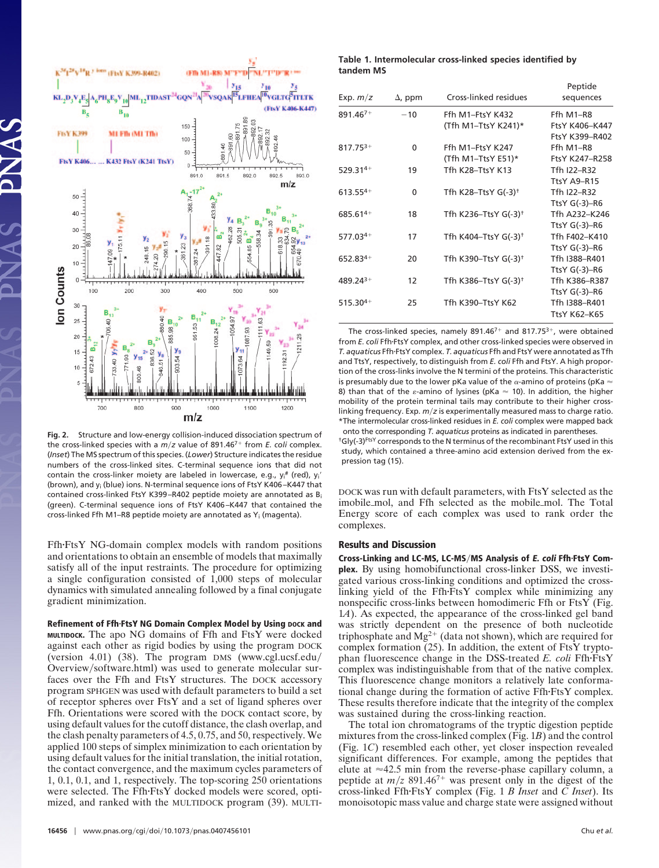

**Fig. 2.** Structure and low-energy collision-induced dissociation spectrum of the cross-linked species with a  $m/z$  value of 891.46<sup>7+</sup> from *E. coli* complex. (*Inset*) The MS spectrum of this species. (*Lower*) Structure indicates the residue numbers of the cross-linked sites. C-terminal sequence ions that did not contain the cross-linker moiety are labeled in lowercase, e.g., y<sub>i</sub><sup>#</sup> (red), y<sub>i</sub>' (brown), and yi (blue) ions. N-terminal sequence ions of FtsY K406 –K447 that contained cross-linked FtsY K399 –R402 peptide moiety are annotated as Bi (green). C-terminal sequence ions of FtsY K406 –K447 that contained the cross-linked Ffh M1–R8 peptide moiety are annotated as Yi (magenta).

FfhFtsY NG-domain complex models with random positions and orientations to obtain an ensemble of models that maximally satisfy all of the input restraints. The procedure for optimizing a single configuration consisted of 1,000 steps of molecular dynamics with simulated annealing followed by a final conjugate gradient minimization.

**Refinement of Ffh·FtsY NG Domain Complex Model by Using DOCK and MULTIDOCK.** The apo NG domains of Ffh and FtsY were docked against each other as rigid bodies by using the program DOCK (version 4.01) (38). The program DMS (www.cgl.ucsf.edu Overview/software.html) was used to generate molecular surfaces over the Ffh and FtsY structures. The DOCK accessory program SPHGEN was used with default parameters to build a set of receptor spheres over FtsY and a set of ligand spheres over Ffh. Orientations were scored with the DOCK contact score, by using default values for the cutoff distance, the clash overlap, and the clash penalty parameters of 4.5, 0.75, and 50, respectively. We applied 100 steps of simplex minimization to each orientation by using default values for the initial translation, the initial rotation, the contact convergence, and the maximum cycles parameters of 1, 0.1, 0.1, and 1, respectively. The top-scoring 250 orientations were selected. The Ffh-FtsY docked models were scored, optimized, and ranked with the MULTIDOCK program (39). MULTI-

#### **Table 1. Intermolecular cross-linked species identified by tandem MS**

| Exp. $m/z$    | $\Delta$ , ppm | Cross-linked residues   | Peptide<br>sequences |
|---------------|----------------|-------------------------|----------------------|
| $891.467+$    | $-10$          | Ffh M1 $-F$ tsY K432    | Ffh M1-R8            |
|               |                | (Tfh M1-TtsY K241)*     | FtsY K406-K447       |
|               |                |                         | FtsY K399-R402       |
| $817.75^{3+}$ | 0              | Ffh M1-FtsY K247        | Ffh M1-R8            |
|               |                | (Tfh M1-TtsY E51)*      | FtsY K247-R258       |
| $529.314+$    | 19             | Tfh K28-TtsY K13        | Tfh I22-R32          |
|               |                |                         | TtsY A9-R15          |
| $613.55^{4+}$ | 0              | Tfh K28-TtsY $G(-3)^+$  | Tfh I22-R32          |
|               |                |                         | Tts $Y$ G(-3)-R6     |
| 685.614+      | 18             | Tfh K236-TtsY $G(-3)^+$ | Tfh A232-K246        |
|               |                |                         | Tts $Y$ G(-3)-R6     |
| $577.034+$    | 17             | Tfh K404-TtsY $G(-3)^+$ | Tfh F402-K410        |
|               |                |                         | Tts $Y$ G(-3)-R6     |
| 652.834+      | 20             | Tfh K390-TtsY $G(-3)^+$ | Tfh I388-R401        |
|               |                |                         | Tts $Y$ G(-3)-R6     |
| $489.24^{3+}$ | 12             | Tfh K386-TtsY $G(-3)^+$ | Tfh K386-R387        |
|               |                |                         | Tts $Y$ G(-3)-R6     |
| $515.30^{4+}$ | 25             | Tfh K390-TtsY K62       | Tfh I388-R401        |
|               |                |                         | TtsY K62-K65         |

The cross-linked species, namely  $891.46^{7+}$  and  $817.75^{3+}$ , were obtained from *E. coli* Ffh·FtsY complex, and other cross-linked species were observed in *T. aquaticus* FfhFtsY complex. *T. aquaticus* Ffh and FtsY were annotated as Tfh and TtsY, respectively, to distinguish from *E. coli* Ffh and FtsY. A high proportion of the cross-links involve the N termini of the proteins. This characteristic is presumably due to the lower pKa value of the  $\alpha$ -amino of proteins (pKa  $\epsilon$ 8) than that of the  $\varepsilon$ -amino of lysines (pKa  $\approx$  10). In addition, the higher mobility of the protein terminal tails may contribute to their higher crosslinking frequency. Exp.  $m/z$  is experimentally measured mass to charge ratio. \*The intermolecular cross-linked residues in *E. coli* complex were mapped back onto the corresponding *T. aquaticus* proteins as indicated in parentheses. <sup>†</sup>Gly(-3)<sup>FtsY</sup> corresponds to the N terminus of the recombinant FtsY used in this study, which contained a three-amino acid extension derived from the ex-

DOCK was run with default parameters, with FtsY selected as the imobile-mol, and Ffh selected as the mobile-mol. The Total Energy score of each complex was used to rank order the complexes.

## **Results and Discussion**

pression tag (15).

**Cross-Linking and LC-MS, LC-MSMS Analysis of E. coli FfhFtsY Complex.** By using homobifunctional cross-linker DSS, we investigated various cross-linking conditions and optimized the crosslinking yield of the Ffh·FtsY complex while minimizing any nonspecific cross-links between homodimeric Ffh or FtsY (Fig. 1*A*). As expected, the appearance of the cross-linked gel band was strictly dependent on the presence of both nucleotide triphosphate and  $Mg^{2+}$  (data not shown), which are required for complex formation (25). In addition, the extent of FtsY tryptophan fluorescence change in the DSS-treated *E. coli* Ffh·FtsY complex was indistinguishable from that of the native complex. This fluorescence change monitors a relatively late conformational change during the formation of active Ffh·FtsY complex. These results therefore indicate that the integrity of the complex was sustained during the cross-linking reaction.

The total ion chromatograms of the tryptic digestion peptide mixtures from the cross-linked complex (Fig. 1*B*) and the control (Fig. 1*C*) resembled each other, yet closer inspection revealed significant differences. For example, among the peptides that elute at  $\approx$ 42.5 min from the reverse-phase capillary column, a peptide at  $m/z$  891.46<sup>7+</sup> was present only in the digest of the cross-linked FfhFtsY complex (Fig. 1 *B Inset* and *C Inset*). Its monoisotopic mass value and charge state were assigned without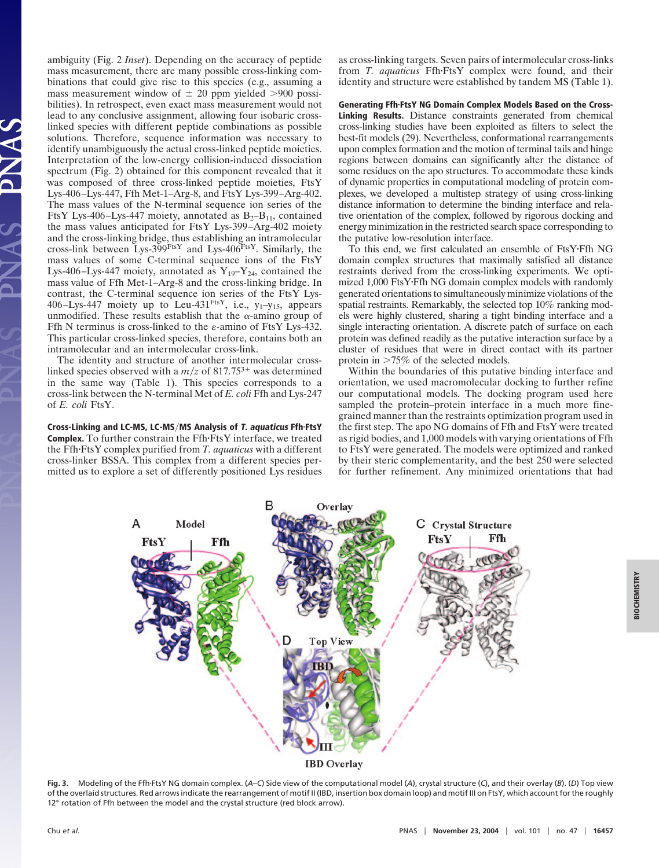ambiguity (Fig. 2 *Inset*). Depending on the accuracy of peptide mass measurement, there are many possible cross-linking combinations that could give rise to this species (e.g., assuming a mass measurement window of  $\pm$  20 ppm yielded >900 possibilities). In retrospect, even exact mass measurement would not lead to any conclusive assignment, allowing four isobaric crosslinked species with different peptide combinations as possible solutions. Therefore, sequence information was necessary to identify unambiguously the actual cross-linked peptide moieties. Interpretation of the low-energy collision-induced dissociation spectrum (Fig. 2) obtained for this component revealed that it was composed of three cross-linked peptide moieties, FtsY Lys-406–Lys-447, Ffh Met-1–Arg-8, and FtsY Lys-399–Arg-402. The mass values of the N-terminal sequence ion series of the FtsY Lys-406–Lys-447 moiety, annotated as  $B_2-B_{11}$ , contained the mass values anticipated for FtsY Lys-399–Arg-402 moiety and the cross-linking bridge, thus establishing an intramolecular cross-link between Lys- $399$ <sup>FtsY</sup> and Lys- $406$ <sup>FtsY</sup>. Similarly, the mass values of some C-terminal sequence ions of the FtsY Lys-406–Lys-447 moiety, annotated as  $Y_{19}-Y_{24}$ , contained the mass value of Ffh Met-1–Arg-8 and the cross-linking bridge. In contrast, the C-terminal sequence ion series of the FtsY Lys-406–Lys-447 moiety up to Leu-431<sup>FtsY</sup>, i.e.,  $y_1$ – $y_1$ <sub>5</sub>, appears unmodified. These results establish that the  $\alpha$ -amino group of Ffh N terminus is cross-linked to the  $\varepsilon$ -amino of FtsY Lys-432. This particular cross-linked species, therefore, contains both an intramolecular and an intermolecular cross-link.

The identity and structure of another intermolecular crosslinked species observed with a  $m/z$  of 817.75<sup>3+</sup> was determined in the same way (Table 1). This species corresponds to a cross-link between the N-terminal Met of *E. coli* Ffh and Lys-247 of *E. coli* FtsY.

**Cross-Linking and LC-MS, LC-MSMS Analysis of T. aquaticus FfhFtsY Complex.** To further constrain the Ffh·FtsY interface, we treated the Ffh·FtsY complex purified from *T. aquaticus* with a different cross-linker BSSA. This complex from a different species permitted us to explore a set of differently positioned Lys residues as cross-linking targets. Seven pairs of intermolecular cross-links from *T. aquaticus* Ffh·FtsY complex were found, and their identity and structure were established by tandem MS (Table 1).

**Generating FfhFtsY NG Domain Complex Models Based on the Cross-Linking Results.** Distance constraints generated from chemical cross-linking studies have been exploited as filters to select the best-fit models (29). Nevertheless, conformational rearrangements upon complex formation and the motion of terminal tails and hinge regions between domains can significantly alter the distance of some residues on the apo structures. To accommodate these kinds of dynamic properties in computational modeling of protein complexes, we developed a multistep strategy of using cross-linking distance information to determine the binding interface and relative orientation of the complex, followed by rigorous docking and energy minimization in the restricted search space corresponding to the putative low-resolution interface.

To this end, we first calculated an ensemble of FtsYFfh NG domain complex structures that maximally satisfied all distance restraints derived from the cross-linking experiments. We optimized 1,000 FtsYFfh NG domain complex models with randomly generated orientations to simultaneously minimize violations of the spatial restraints. Remarkably, the selected top 10% ranking models were highly clustered, sharing a tight binding interface and a single interacting orientation. A discrete patch of surface on each protein was defined readily as the putative interaction surface by a cluster of residues that were in direct contact with its partner protein in  $>75\%$  of the selected models.

Within the boundaries of this putative binding interface and orientation, we used macromolecular docking to further refine our computational models. The docking program used here sampled the protein–protein interface in a much more finegrained manner than the restraints optimization program used in the first step. The apo NG domains of Ffh and FtsY were treated as rigid bodies, and 1,000 models with varying orientations of Ffh to FtsY were generated. The models were optimized and ranked by their steric complementarity, and the best 250 were selected for further refinement. Any minimized orientations that had



**Fig. 3.** Modeling of the FfhFtsY NG domain complex. (*A*–*C*) Side view of the computational model (*A*), crystal structure (*C*), and their overlay (*B*). (*D*) Top view of the overlaid structures. Red arrows indicate the rearrangement of motif II (IBD, insertion box domain loop) and motif III on FtsY, which account forthe roughly 12° rotation of Ffh between the model and the crystal structure (red block arrow).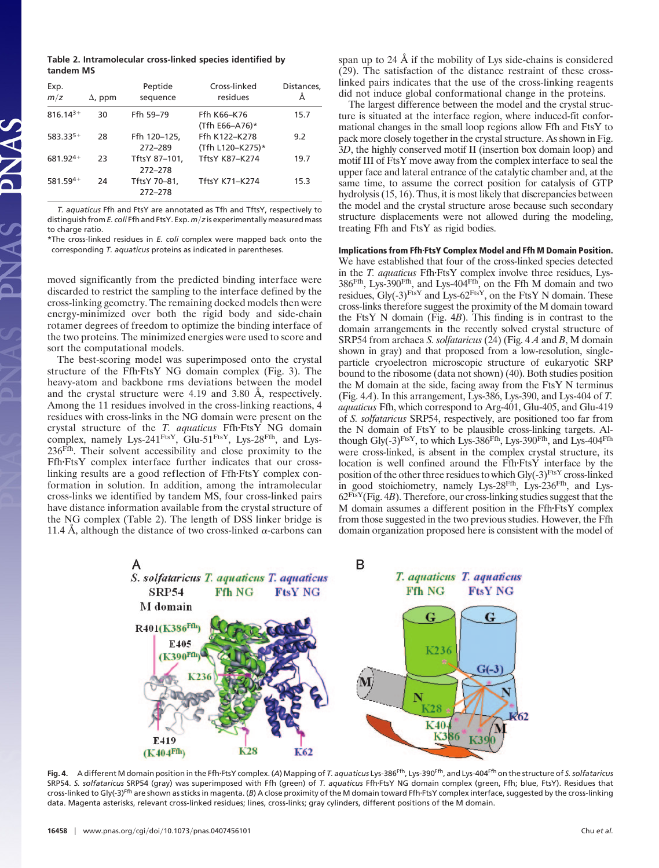**Table 2. Intramolecular cross-linked species identified by tandem MS**

| Exp.<br>m/z   | $\Delta$ , ppm | Peptide<br>sequence      | Cross-linked<br>residues          | Distances,<br>Å |
|---------------|----------------|--------------------------|-----------------------------------|-----------------|
| $816.14^{3+}$ | 30             | Ffh 59-79                | Ffh K66-K76<br>(Tfh E66-A76)*     | 15.7            |
| 583.335+      | 28             | Ffh 120-125,<br>272-289  | Ffh K122-K278<br>(Tfh L120-K275)* | 9.2             |
| 681.924+      | 23             | TftsY 87-101,<br>272-278 | <b>TftsY K87-K274</b>             | 19.7            |
| 581.594+      | 24             | TftsY 70-81.<br>272-278  | <b>TftsY K71-K274</b>             | 15.3            |

*T. aquaticus* Ffh and FtsY are annotated as Tfh and TftsY, respectively to distinguish from *E. coli* Ffh and FtsY. Exp. *mz* is experimentally measured mass to charge ratio.

\*The cross-linked residues in *E. coli* complex were mapped back onto the corresponding *T. aquaticus* proteins as indicated in parentheses.

moved significantly from the predicted binding interface were discarded to restrict the sampling to the interface defined by the cross-linking geometry. The remaining docked models then were energy-minimized over both the rigid body and side-chain rotamer degrees of freedom to optimize the binding interface of the two proteins. The minimized energies were used to score and sort the computational models.

The best-scoring model was superimposed onto the crystal structure of the Ffh-FtsY NG domain complex (Fig. 3). The heavy-atom and backbone rms deviations between the model and the crystal structure were 4.19 and 3.80 Å, respectively. Among the 11 residues involved in the cross-linking reactions, 4 residues with cross-links in the NG domain were present on the crystal structure of the *T. aquaticus* FfhFtsY NG domain complex, namely Lys-241<sup>FtsY</sup>, Glu-51<sup>FtsY</sup>, Lys-28<sup>Ffh</sup>, and Lys-236Ffh. Their solvent accessibility and close proximity to the FfhFtsY complex interface further indicates that our crosslinking results are a good reflection of  $Ffh\text{-}Ft$ s complex conformation in solution. In addition, among the intramolecular cross-links we identified by tandem MS, four cross-linked pairs have distance information available from the crystal structure of the NG complex (Table 2). The length of DSS linker bridge is 11.4 Å, although the distance of two cross-linked  $\alpha$ -carbons can span up to 24 Å if the mobility of Lys side-chains is considered (29). The satisfaction of the distance restraint of these crosslinked pairs indicates that the use of the cross-linking reagents did not induce global conformational change in the proteins.

The largest difference between the model and the crystal structure is situated at the interface region, where induced-fit conformational changes in the small loop regions allow Ffh and FtsY to pack more closely together in the crystal structure. As shown in Fig. 3*D*, the highly conserved motif II (insertion box domain loop) and motif III of FtsY move away from the complex interface to seal the upper face and lateral entrance of the catalytic chamber and, at the same time, to assume the correct position for catalysis of GTP hydrolysis (15, 16). Thus, it is most likely that discrepancies between the model and the crystal structure arose because such secondary structure displacements were not allowed during the modeling, treating Ffh and FtsY as rigid bodies.

## **Implications from FfhFtsY Complex Model and Ffh M Domain Position.**

We have established that four of the cross-linked species detected in the *T. aquaticus* Ffh·FtsY complex involve three residues, Lys-386Ffh, Lys-390Ffh, and Lys-404Ffh, on the Ffh M domain and two residues,  $\text{Gly}(-3)^{\text{FtsY}}$  and Lys-62<sup>FtsY</sup>, on the FtsY N domain. These cross-links therefore suggest the proximity of the M domain toward the FtsY N domain (Fig. 4*B*). This finding is in contrast to the domain arrangements in the recently solved crystal structure of SRP54 from archaea *S. solfataricus* (24) (Fig. 4 *A* and *B*, M domain shown in gray) and that proposed from a low-resolution, singleparticle cryoelectron microscopic structure of eukaryotic SRP bound to the ribosome (data not shown) (40). Both studies position the M domain at the side, facing away from the FtsY N terminus (Fig. 4*A*). In this arrangement, Lys-386, Lys-390, and Lys-404 of *T. aquaticus* Ffh, which correspond to Arg-401, Glu-405, and Glu-419 of *S. solfataricus* SRP54, respectively, are positioned too far from the N domain of FtsY to be plausible cross-linking targets. Although Gly(-3) $F$ <sup>tsY</sup>, to which Lys-386<sup>Ffh</sup>, Lys-390<sup>Ffh</sup>, and Lys-404<sup>Ffh</sup> were cross-linked, is absent in the complex crystal structure, its location is well confined around the Ffh-FtsY interface by the position of the other three residues to which  $\text{Gly}(-3)^{\text{FtsY}}$  cross-linked in good stoichiometry, namely Lys-28Ffh, Lys-236Ffh, and Lys- $62<sup>FtsY</sup>(Fig. 4*B*)$ . Therefore, our cross-linking studies suggest that the M domain assumes a different position in the Ffh-FtsY complex from those suggested in the two previous studies. However, the Ffh domain organization proposed here is consistent with the model of



**Fig. 4.** A different M domain position in the FfhFtsY complex. (*A*) Mapping of *T. aquaticus* Lys-386Ffh, Lys-390Ffh, and Lys-404Ffh on the structure of *S. solfataricus* SRP54. *S. solfataricus* SRP54 (gray) was superimposed with Ffh (green) of *T. aquaticus* FfhFtsY NG domain complex (green, Ffh; blue, FtsY). Residues that cross-linked to Gly(-3)Ffh are shown as sticks in magenta. (*B*) A close proximity of the M domain toward FfhFtsY complex interface, suggested by the cross-linking data. Magenta asterisks, relevant cross-linked residues; lines, cross-links; gray cylinders, different positions of the M domain.